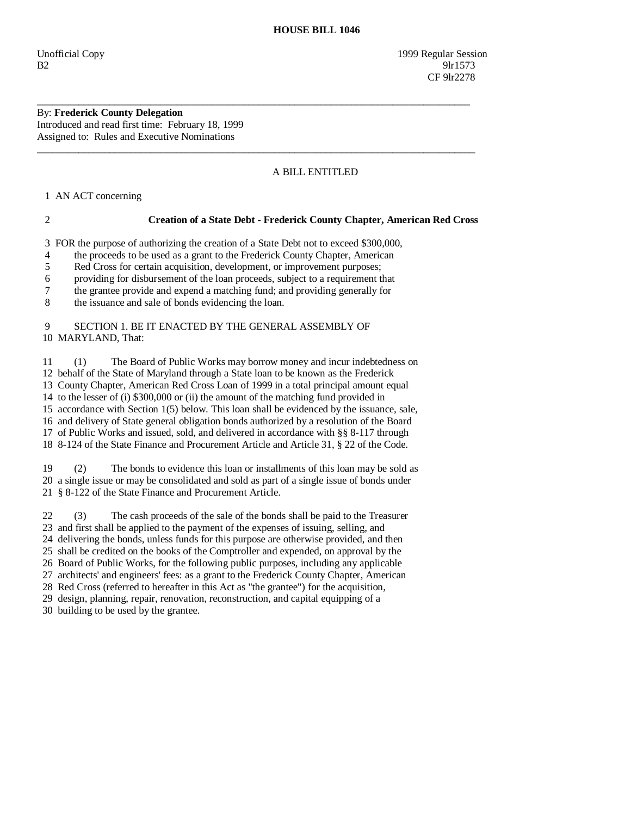### By: **Frederick County Delegation**  Introduced and read first time: February 18, 1999 Assigned to: Rules and Executive Nominations

# A BILL ENTITLED

1 AN ACT concerning

## 2 **Creation of a State Debt - Frederick County Chapter, American Red Cross**

3 FOR the purpose of authorizing the creation of a State Debt not to exceed \$300,000,

\_\_\_\_\_\_\_\_\_\_\_\_\_\_\_\_\_\_\_\_\_\_\_\_\_\_\_\_\_\_\_\_\_\_\_\_\_\_\_\_\_\_\_\_\_\_\_\_\_\_\_\_\_\_\_\_\_\_\_\_\_\_\_\_\_\_\_\_\_\_\_\_\_\_\_\_\_\_\_\_\_\_\_\_

\_\_\_\_\_\_\_\_\_\_\_\_\_\_\_\_\_\_\_\_\_\_\_\_\_\_\_\_\_\_\_\_\_\_\_\_\_\_\_\_\_\_\_\_\_\_\_\_\_\_\_\_\_\_\_\_\_\_\_\_\_\_\_\_\_\_\_\_\_\_\_\_\_\_\_\_\_\_\_\_\_\_\_\_\_

4 the proceeds to be used as a grant to the Frederick County Chapter, American

5 Red Cross for certain acquisition, development, or improvement purposes;

6 providing for disbursement of the loan proceeds, subject to a requirement that

7 the grantee provide and expend a matching fund; and providing generally for

8 the issuance and sale of bonds evidencing the loan.

## 9 SECTION 1. BE IT ENACTED BY THE GENERAL ASSEMBLY OF 10 MARYLAND, That:

 11 (1) The Board of Public Works may borrow money and incur indebtedness on 12 behalf of the State of Maryland through a State loan to be known as the Frederick 13 County Chapter, American Red Cross Loan of 1999 in a total principal amount equal 14 to the lesser of (i) \$300,000 or (ii) the amount of the matching fund provided in 15 accordance with Section 1(5) below. This loan shall be evidenced by the issuance, sale, 16 and delivery of State general obligation bonds authorized by a resolution of the Board 17 of Public Works and issued, sold, and delivered in accordance with §§ 8-117 through 18 8-124 of the State Finance and Procurement Article and Article 31, § 22 of the Code.

 19 (2) The bonds to evidence this loan or installments of this loan may be sold as 20 a single issue or may be consolidated and sold as part of a single issue of bonds under 21 § 8-122 of the State Finance and Procurement Article.

 22 (3) The cash proceeds of the sale of the bonds shall be paid to the Treasurer 23 and first shall be applied to the payment of the expenses of issuing, selling, and 24 delivering the bonds, unless funds for this purpose are otherwise provided, and then 25 shall be credited on the books of the Comptroller and expended, on approval by the 26 Board of Public Works, for the following public purposes, including any applicable 27 architects' and engineers' fees: as a grant to the Frederick County Chapter, American 28 Red Cross (referred to hereafter in this Act as "the grantee") for the acquisition, 29 design, planning, repair, renovation, reconstruction, and capital equipping of a

30 building to be used by the grantee.